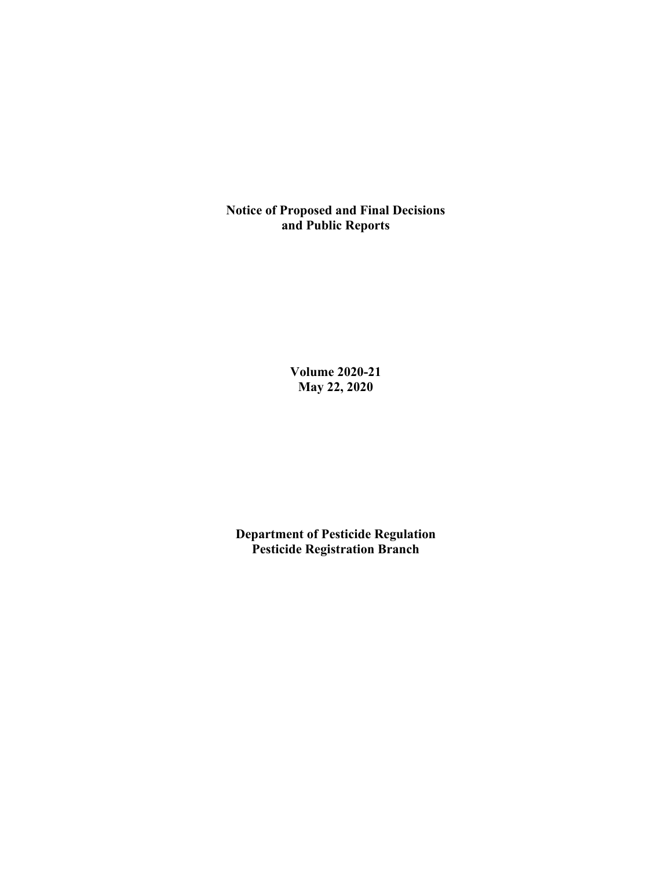**Notice of Proposed and Final Decisions and Public Reports**

> **Volume 2020-21 May 22, 2020**

**Department of Pesticide Regulation Pesticide Registration Branch**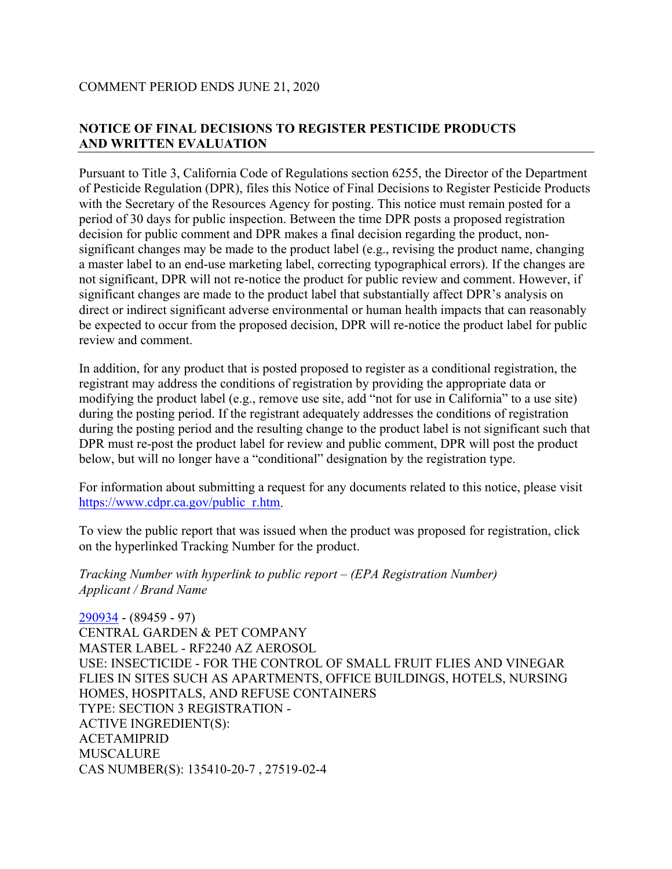# **NOTICE OF FINAL DECISIONS TO REGISTER PESTICIDE PRODUCTS AND WRITTEN EVALUATION**

Pursuant to Title 3, California Code of Regulations section 6255, the Director of the Department of Pesticide Regulation (DPR), files this Notice of Final Decisions to Register Pesticide Products with the Secretary of the Resources Agency for posting. This notice must remain posted for a period of 30 days for public inspection. Between the time DPR posts a proposed registration decision for public comment and DPR makes a final decision regarding the product, nonsignificant changes may be made to the product label (e.g., revising the product name, changing a master label to an end-use marketing label, correcting typographical errors). If the changes are not significant, DPR will not re-notice the product for public review and comment. However, if significant changes are made to the product label that substantially affect DPR's analysis on direct or indirect significant adverse environmental or human health impacts that can reasonably be expected to occur from the proposed decision, DPR will re-notice the product label for public review and comment.

In addition, for any product that is posted proposed to register as a conditional registration, the registrant may address the conditions of registration by providing the appropriate data or modifying the product label (e.g., remove use site, add "not for use in California" to a use site) during the posting period. If the registrant adequately addresses the conditions of registration during the posting period and the resulting change to the product label is not significant such that DPR must re-post the product label for review and public comment, DPR will post the product below, but will no longer have a "conditional" designation by the registration type.

For information about submitting a request for any documents related to this notice, please visit [https://www.cdpr.ca.gov/public\\_r.htm.](https://www.cdpr.ca.gov/public_r.htm)

To view the public report that was issued when the product was proposed for registration, click on the hyperlinked Tracking Number for the product.

*Tracking Number with hyperlink to public report – (EPA Registration Number) Applicant / Brand Name*

[290934](https://www.cdpr.ca.gov/docs/registration/nod/public_reports/290934.pdf) - (89459 - 97) CENTRAL GARDEN & PET COMPANY MASTER LABEL - RF2240 AZ AEROSOL USE: INSECTICIDE - FOR THE CONTROL OF SMALL FRUIT FLIES AND VINEGAR FLIES IN SITES SUCH AS APARTMENTS, OFFICE BUILDINGS, HOTELS, NURSING HOMES, HOSPITALS, AND REFUSE CONTAINERS TYPE: SECTION 3 REGISTRATION - ACTIVE INGREDIENT(S): ACETAMIPRID MUSCALURE CAS NUMBER(S): 135410-20-7 , 27519-02-4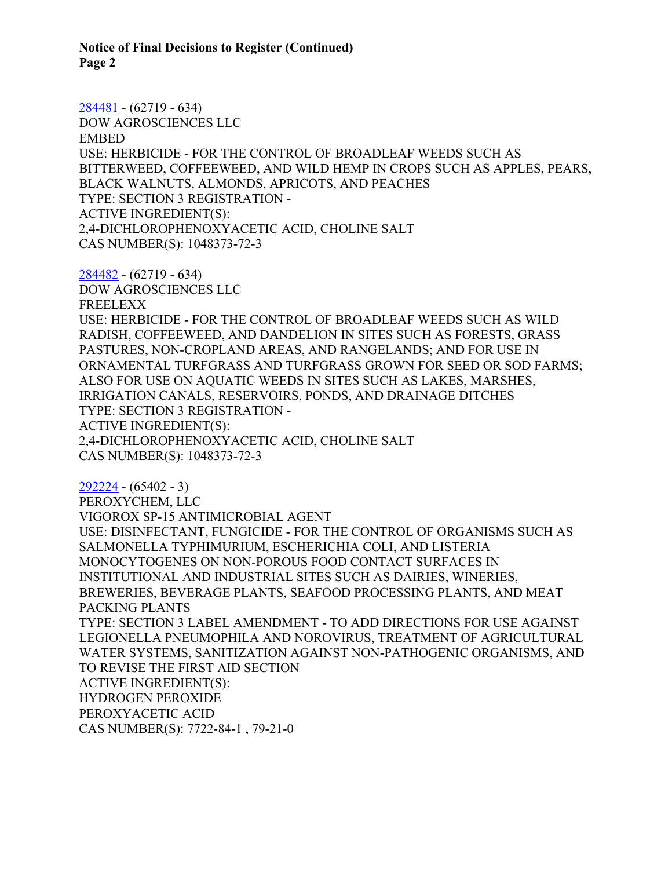**Notice of Final Decisions to Register (Continued) Page 2** 

[284481](https://www.cdpr.ca.gov/docs/registration/nod/public_reports/284481.pdf) - (62719 - 634) DOW AGROSCIENCES LLC EMBED USE: HERBICIDE - FOR THE CONTROL OF BROADLEAF WEEDS SUCH AS BITTERWEED, COFFEEWEED, AND WILD HEMP IN CROPS SUCH AS APPLES, PEARS, BLACK WALNUTS, ALMONDS, APRICOTS, AND PEACHES TYPE: SECTION 3 REGISTRATION - ACTIVE INGREDIENT(S): 2,4-DICHLOROPHENOXYACETIC ACID, CHOLINE SALT CAS NUMBER(S): 1048373-72-3

[284482](https://www.cdpr.ca.gov/docs/registration/nod/public_reports/284482.pdf) - (62719 - 634) DOW AGROSCIENCES LLC FREELEXX USE: HERBICIDE - FOR THE CONTROL OF BROADLEAF WEEDS SUCH AS WILD RADISH, COFFEEWEED, AND DANDELION IN SITES SUCH AS FORESTS, GRASS PASTURES, NON-CROPLAND AREAS, AND RANGELANDS; AND FOR USE IN ORNAMENTAL TURFGRASS AND TURFGRASS GROWN FOR SEED OR SOD FARMS; ALSO FOR USE ON AQUATIC WEEDS IN SITES SUCH AS LAKES, MARSHES, IRRIGATION CANALS, RESERVOIRS, PONDS, AND DRAINAGE DITCHES TYPE: SECTION 3 REGISTRATION - ACTIVE INGREDIENT(S): 2,4-DICHLOROPHENOXYACETIC ACID, CHOLINE SALT CAS NUMBER(S): 1048373-72-3

[292224](https://www.cdpr.ca.gov/docs/registration/nod/public_reports/292224.pdf) - (65402 - 3) PEROXYCHEM, LLC VIGOROX SP-15 ANTIMICROBIAL AGENT USE: DISINFECTANT, FUNGICIDE - FOR THE CONTROL OF ORGANISMS SUCH AS SALMONELLA TYPHIMURIUM, ESCHERICHIA COLI, AND LISTERIA MONOCYTOGENES ON NON-POROUS FOOD CONTACT SURFACES IN INSTITUTIONAL AND INDUSTRIAL SITES SUCH AS DAIRIES, WINERIES, BREWERIES, BEVERAGE PLANTS, SEAFOOD PROCESSING PLANTS, AND MEAT PACKING PLANTS TYPE: SECTION 3 LABEL AMENDMENT - TO ADD DIRECTIONS FOR USE AGAINST LEGIONELLA PNEUMOPHILA AND NOROVIRUS, TREATMENT OF AGRICULTURAL WATER SYSTEMS, SANITIZATION AGAINST NON-PATHOGENIC ORGANISMS, AND TO REVISE THE FIRST AID SECTION ACTIVE INGREDIENT(S): HYDROGEN PEROXIDE PEROXYACETIC ACID CAS NUMBER(S): 7722-84-1 , 79-21-0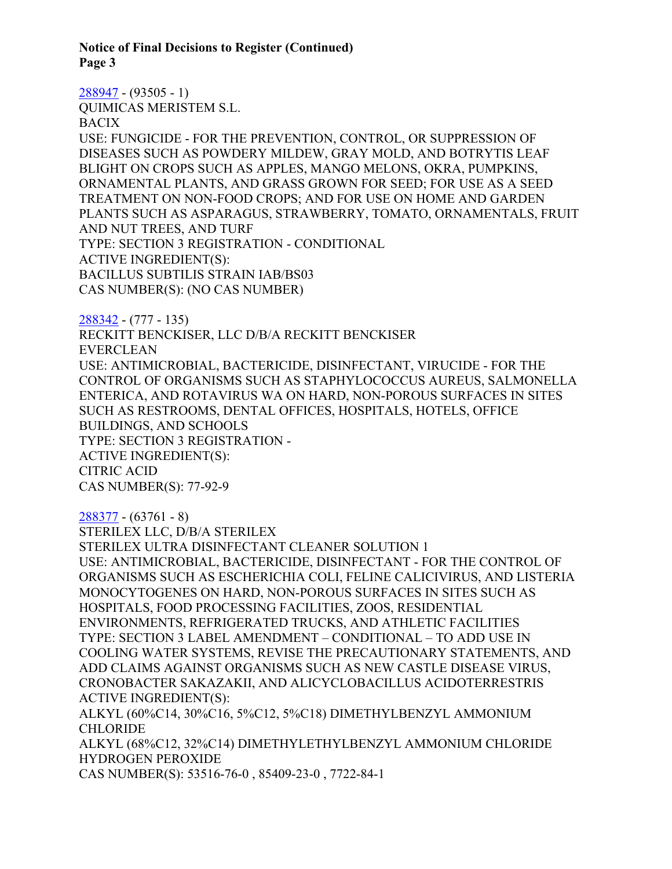**Notice of Final Decisions to Register (Continued) Page 3** 

[288947](https://www.cdpr.ca.gov/docs/registration/nod/public_reports/288947.pdf) - (93505 - 1)

QUIMICAS MERISTEM S.L.

BACIX

USE: FUNGICIDE - FOR THE PREVENTION, CONTROL, OR SUPPRESSION OF DISEASES SUCH AS POWDERY MILDEW, GRAY MOLD, AND BOTRYTIS LEAF BLIGHT ON CROPS SUCH AS APPLES, MANGO MELONS, OKRA, PUMPKINS, ORNAMENTAL PLANTS, AND GRASS GROWN FOR SEED; FOR USE AS A SEED TREATMENT ON NON-FOOD CROPS; AND FOR USE ON HOME AND GARDEN PLANTS SUCH AS ASPARAGUS, STRAWBERRY, TOMATO, ORNAMENTALS, FRUIT AND NUT TREES, AND TURF TYPE: SECTION 3 REGISTRATION - CONDITIONAL ACTIVE INGREDIENT(S): BACILLUS SUBTILIS STRAIN IAB/BS03 CAS NUMBER(S): (NO CAS NUMBER)

[288342](https://www.cdpr.ca.gov/docs/registration/nod/public_reports/288342.pdf) - (777 - 135) RECKITT BENCKISER, LLC D/B/A RECKITT BENCKISER EVERCLEAN USE: ANTIMICROBIAL, BACTERICIDE, DISINFECTANT, VIRUCIDE - FOR THE CONTROL OF ORGANISMS SUCH AS STAPHYLOCOCCUS AUREUS, SALMONELLA ENTERICA, AND ROTAVIRUS WA ON HARD, NON-POROUS SURFACES IN SITES SUCH AS RESTROOMS, DENTAL OFFICES, HOSPITALS, HOTELS, OFFICE BUILDINGS, AND SCHOOLS TYPE: SECTION 3 REGISTRATION - ACTIVE INGREDIENT(S): CITRIC ACID CAS NUMBER(S): 77-92-9

[288377](https://www.cdpr.ca.gov/docs/registration/nod/public_reports/288377.pdf) - (63761 - 8)

STERILEX LLC, D/B/A STERILEX STERILEX ULTRA DISINFECTANT CLEANER SOLUTION 1 USE: ANTIMICROBIAL, BACTERICIDE, DISINFECTANT - FOR THE CONTROL OF ORGANISMS SUCH AS ESCHERICHIA COLI, FELINE CALICIVIRUS, AND LISTERIA MONOCYTOGENES ON HARD, NON-POROUS SURFACES IN SITES SUCH AS HOSPITALS, FOOD PROCESSING FACILITIES, ZOOS, RESIDENTIAL ENVIRONMENTS, REFRIGERATED TRUCKS, AND ATHLETIC FACILITIES TYPE: SECTION 3 LABEL AMENDMENT – CONDITIONAL – TO ADD USE IN COOLING WATER SYSTEMS, REVISE THE PRECAUTIONARY STATEMENTS, AND ADD CLAIMS AGAINST ORGANISMS SUCH AS NEW CASTLE DISEASE VIRUS, CRONOBACTER SAKAZAKII, AND ALICYCLOBACILLUS ACIDOTERRESTRIS ACTIVE INGREDIENT(S): ALKYL (60%C14, 30%C16, 5%C12, 5%C18) DIMETHYLBENZYL AMMONIUM CHLORIDE ALKYL (68%C12, 32%C14) DIMETHYLETHYLBENZYL AMMONIUM CHLORIDE

HYDROGEN PEROXIDE

CAS NUMBER(S): 53516-76-0 , 85409-23-0 , 7722-84-1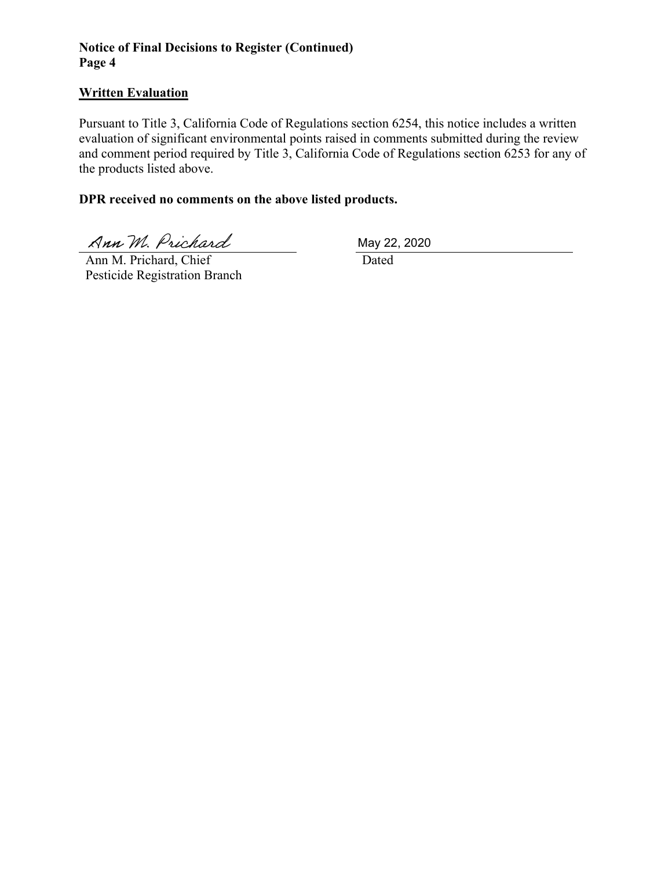## **Notice of Final Decisions to Register (Continued) Page 4**

#### **Written Evaluation**

Pursuant to Title 3, California Code of Regulations section 6254, this notice includes a written evaluation of significant environmental points raised in comments submitted during the review and comment period required by Title 3, California Code of Regulations section 6253 for any of the products listed above.

#### **DPR received no comments on the above listed products.**

Ann M. Prichard

 Ann M. Prichard, Chief Pesticide Registration Branch May 22, 2020

Dated